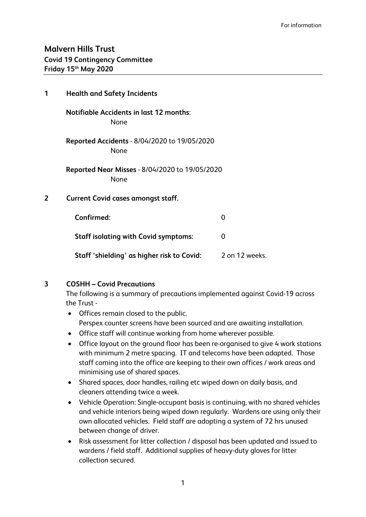## **Malvern Hills Trust Covid 19 Contingency Committee Friday 15th May 2020**

| 1 | <b>Health and Safety Incidents</b>                     |                |  |
|---|--------------------------------------------------------|----------------|--|
|   | <b>Notifiable Accidents in last 12 months:</b><br>None |                |  |
|   | Reported Accidents - 8/04/2020 to 19/05/2020<br>None   |                |  |
|   | Reported Near Misses - 8/04/2020 to 19/05/2020<br>None |                |  |
| 2 | <b>Current Covid cases amongst staff.</b>              |                |  |
|   | Confirmed:                                             | 0              |  |
|   | <b>Staff isolating with Covid symptoms:</b>            | 0              |  |
|   | Staff 'shielding' as higher risk to Covid:             | 2 on 12 weeks. |  |

## **3 COSHH – Covid Precautions**

The following is a summary of precautions implemented against Covid-19 across the Trust -

- Offices remain closed to the public. Perspex counter screens have been sourced and are awaiting installation.
- Office staff will continue working from home wherever possible.
- Office layout on the ground floor has been re-organised to give 4 work stations with minimum 2 metre spacing. IT and telecoms have been adapted. Those staff coming into the office are keeping to their own offices / work areas and minimising use of shared spaces.
- Shared spaces, door handles, railing etc wiped down on daily basis, and cleaners attending twice a week.
- Vehicle Operation: Single-occupant basis is continuing, with no shared vehicles and vehicle interiors being wiped down regularly. Wardens are using only their own allocated vehicles. Field staff are adopting a system of 72 hrs unused between change of driver.
- Risk assessment for litter collection / disposal has been updated and issued to wardens / field staff. Additional supplies of heavy-duty gloves for litter collection secured.